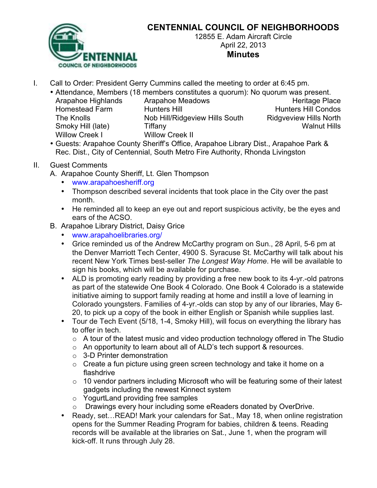

## **CENTENNIAL COUNCIL OF NEIGHBORHOODS**

12855 E. Adam Aircraft Circle April 22, 2013 **Minutes**

- I. Call to Order: President Gerry Cummins called the meeting to order at 6:45 pm.
	- Attendance, Members (18 members constitutes a quorum): No quorum was present.
		- Arapahoe Highlands Arapahoe Meadows **Arapahoe Heritage Place** Homestead Farm Hunters Hill **Hunters Hill Hunters Hill Condos** The Knolls Nob Hill/Ridgeview Hills South Ridgveview Hills North Smoky Hill (late) Tiffany Walnut Hills Willow Creek I Willow Creek II
		- Guests: Arapahoe County Sheriff's Office, Arapahoe Library Dist., Arapahoe Park & Rec. Dist., City of Centennial, South Metro Fire Authority, Rhonda Livingston

## II. Guest Comments

- A. Arapahoe County Sheriff, Lt. Glen Thompson
	- www.arapahoesheriff.org
	- Thompson described several incidents that took place in the City over the past month.
	- He reminded all to keep an eye out and report suspicious activity, be the eyes and ears of the ACSO.
- B. Arapahoe Library District, Daisy Grice
	- www.arapahoelibraries.org/
	- Grice reminded us of the Andrew McCarthy program on Sun., 28 April, 5-6 pm at the Denver Marriott Tech Center, 4900 S. Syracuse St. McCarthy will talk about his recent New York Times best-seller *The Longest Way Home*. He will be available to sign his books, which will be available for purchase.
	- ALD is promoting early reading by providing a free new book to its 4-yr.-old patrons as part of the statewide One Book 4 Colorado. One Book 4 Colorado is a statewide initiative aiming to support family reading at home and instill a love of learning in Colorado youngsters. Families of 4-yr.-olds can stop by any of our libraries, May 6- 20, to pick up a copy of the book in either English or Spanish while supplies last.
	- Tour de Tech Event (5/18, 1-4, Smoky Hill), will focus on everything the library has to offer in tech.
		- $\circ$  A tour of the latest music and video production technology offered in The Studio
		- o An opportunity to learn about all of ALD's tech support & resources.
		- o 3-D Printer demonstration
		- $\circ$  Create a fun picture using green screen technology and take it home on a flashdrive
		- o 10 vendor partners including Microsoft who will be featuring some of their latest gadgets including the newest Kinnect system
		- o YogurtLand providing free samples
		- o Drawings every hour including some eReaders donated by OverDrive.
	- Ready, set…READ! Mark your calendars for Sat., May 18, when online registration opens for the Summer Reading Program for babies, children & teens. Reading records will be available at the libraries on Sat., June 1, when the program will kick-off. It runs through July 28.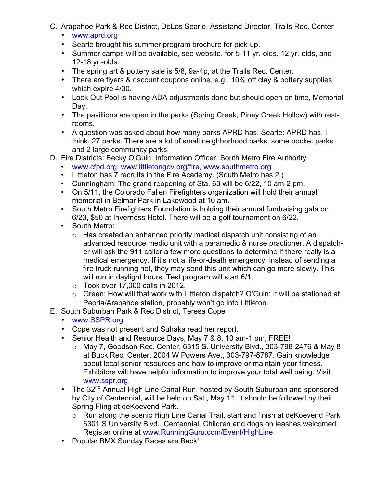- C. Arapahoe Park & Rec District, DeLos Searle, Assistand Director, Trails Rec. Center
	- www.aprd.org
	- Searle brought his summer program brochure for pick-up.
	- Summer camps will be available, see website, for 5-11 yr.-olds, 12 yr.-olds, and 12-18 yr.-olds.
	- The spring art & pottery sale is 5/8, 9a-4p, at the Trails Rec. Center.
	- There are flyers & dscount coupons online, e.g., 10% off clay & pottery supplies which expire 4/30.
	- Look Out Pool is having ADA adjustments done but should open on time, Memorial Day.
	- The pavillions are open in the parks (Spring Creek, Piney Creek Hollow) with restrooms.
	- A question was asked about how many parks APRD has. Searle: APRD has, I think, 27 parks. There are a lot of small neighborhood parks, some pocket parks and 2 large community parks.
- D. Fire Districts: Becky O'Guin, Information Officer, South Metro Fire Authority
	- www.cfpd.org, www.littletongov.org/fire, www.southmetro.org
	- Littleton has 7 recruits in the Fire Academy. (South Metro has 2.)
	- Cunningham: The grand reopening of Sta. 63 will be 6/22, 10 am-2 pm.
	- On 5/11, the Colorado Fallen Firefighters organization will hold their annual memorial in Belmar Park in Lakewood at 10 am.
	- South Metro Firefighters Foundation is holding their annual fundraising gala on 6/23, \$50 at Inverness Hotel. There will be a golf tournament on 6/22.
	- South Metro:
		- o Has created an enhanced priority medical dispatch unit consisting of an advanced resource medic unit with a paramedic & nurse practioner. A dispatcher will ask the 911 caller a few more questions to determine if there really is a medical emergency. If it's not a life-or-death emergency, instead of sending a fire truck running hot, they may send this unit which can go more slowly. This will run in daylight hours. Test program will start 6/1.
		- $\circ$  Took over 17,000 calls in 2012.
		- o Green: How will that work with Littleton dispatch? O'Guin: It will be stationed at Peoria/Arapahoe station, probably won't go into Littleton.
- E. South Suburban Park & Rec District, Teresa Cope
	- www.SSPR.org
	- Cope was not present and Suhaka read her report.
	- Senior Health and Resource Days, May 7 & 8, 10 am-1 pm, FREE!
		- o May 7, Goodson Rec. Center, 6315 S. University Blvd., 303-798-2476 & May 8 at Buck Rec. Center, 2004 W Powers Ave., 303-797-8787. Gain knowledge about local senior resources and how to improve or maintain your fitness. Exhibitors will have helpful information to improve your total well being. Visit www.sspr.org.
	- The 32<sup>nd</sup> Annual High Line Canal Run, hosted by South Suburban and sponsored by City of Centennial, will be held on Sat., May 11. It should be followed by their Spring Fling at deKoevend Park.
		- o Run along the scenic High Line Canal Trail, start and finish at deKoevend Park 6301 S University Blvd., Centennial. Children and dogs on leashes welcomed. Register online at www.RunningGuru.com/Event/HighLine.
	- Popular BMX Sunday Races are Back!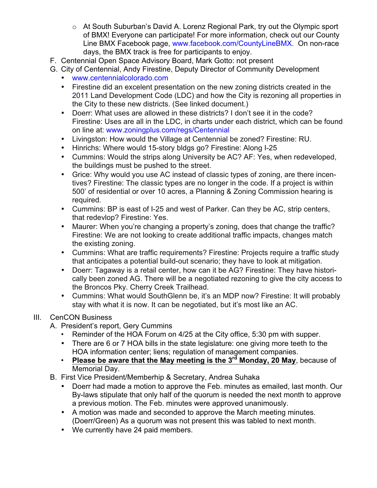- o At South Suburban's David A. Lorenz Regional Park, try out the Olympic sport of BMX! Everyone can participate! For more information, check out our County Line BMX Facebook page, www.facebook.com/CountyLineBMX. On non-race days, the BMX track is free for participants to enjoy.
- F. Centennial Open Space Advisory Board, Mark Gotto: not present
- G. City of Centennial, Andy Firestine, Deputy Director of Community Development
	- www.centennialcolorado.com
	- Firestine did an excelent presentation on the new zoning districts created in the 2011 Land Development Code (LDC) and how the City is rezoning all properties in the City to these new districts. (See linked document.)
	- Doerr: What uses are allowed in these districts? I don't see it in the code? Firestine: Uses are all in the LDC, in charts under each district, which can be found on line at: www.zoningplus.com/regs/Centennial
	- Livingston: How would the Village at Centennial be zoned? Firestine: RU.
	- Hinrichs: Where would 15-story bldgs go? Firestine: Along I-25
	- Cummins: Would the strips along University be AC? AF: Yes, when redeveloped, the buildings must be pushed to the street.
	- Grice: Why would you use AC instead of classic types of zoning, are there incentives? Firestine: The classic types are no longer in the code. If a project is within 500' of residential or over 10 acres, a Planning & Zoning Commission hearing is required.
	- Cummins: BP is east of I-25 and west of Parker. Can they be AC, strip centers, that redevlop? Firestine: Yes.
	- Maurer: When you're changing a property's zoning, does that change the traffic? Firestine: We are not looking to create additional traffic impacts, changes match the existing zoning.
	- Cummins: What are traffic requirements? Firestine: Projects require a traffic study that anticipates a potential build-out scenario; they have to look at mitigation.
	- Doerr: Tagaway is a retail center, how can it be AG? Firestine: They have historically been zoned AG. There will be a negotiated rezoning to give the city access to the Broncos Pky. Cherry Creek Trailhead.
	- Cummins: What would SouthGlenn be, it's an MDP now? Firestine: It will probably stay with what it is now. It can be negotiated, but it's most like an AC.

## III. CenCON Business

- A. President's report, Gery Cummins
	- Reminder of the HOA Forum on 4/25 at the City office, 5:30 pm with supper.
	- There are 6 or 7 HOA bills in the state legislature: one giving more teeth to the HOA information center; liens; regulation of management companies.
	- **Please be aware that the May meeting is the 3rd Monday, 20 May**, because of Memorial Day.
- B. First Vice President/Memberhip & Secretary, Andrea Suhaka
	- Doerr had made a motion to approve the Feb. minutes as emailed, last month. Our By-laws stipulate that only half of the quorum is needed the next month to approve a previous motion. The Feb. minutes were approved unanimously.
	- A motion was made and seconded to approve the March meeting minutes. (Doerr/Green) As a quorum was not present this was tabled to next month.
	- We currently have 24 paid members.